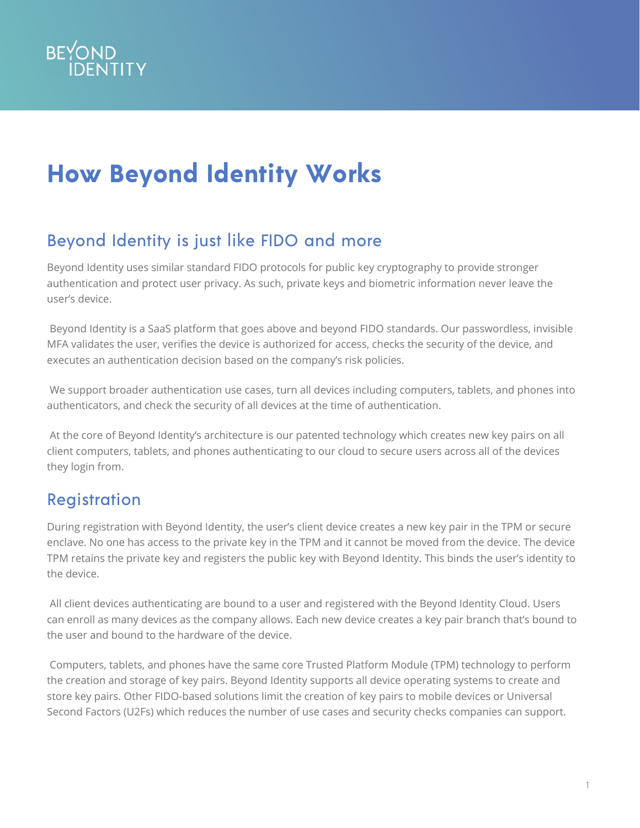

# **How Beyond Identity Works**

## Beyond Identity is just like FIDO and more

Beyond Identity uses similar standard FIDO protocols for public key cryptography to provide stronger authentication and protect user privacy. As such, private keys and biometric information never leave the user's device.

 Beyond Identity is a SaaS platform that goes above and beyond FIDO standards. Our passwordless, invisible MFA validates the user, verifies the device is authorized for access, checks the security of the device, and executes an authentication decision based on the company's risk policies.

 We support broader authentication use cases, turn all devices including computers, tablets, and phones into authenticators, and check the security of all devices at the time of authentication.

 At the core of Beyond Identity's architecture is our patented technology which creates new key pairs on all client computers, tablets, and phones authenticating to our cloud to secure users across all of the devices they login from.

## Registration

During registration with Beyond Identity, the user's client device creates a new key pair in the TPM or secure enclave. No one has access to the private key in the TPM and it cannot be moved from the device. The device TPM retains the private key and registers the public key with Beyond Identity. This binds the user's identity to the device.

 All client devices authenticating are bound to a user and registered with the Beyond Identity Cloud. Users can enroll as many devices as the company allows. Each new device creates a key pair branch that's bound to the user and bound to the hardware of the device.

 Computers, tablets, and phones have the same core Trusted Platform Module (TPM) technology to perform the creation and storage of key pairs. Beyond Identity supports all device operating systems to create and store key pairs. Other FIDO-based solutions limit the creation of key pairs to mobile devices or Universal Second Factors (U2Fs) which reduces the number of use cases and security checks companies can support.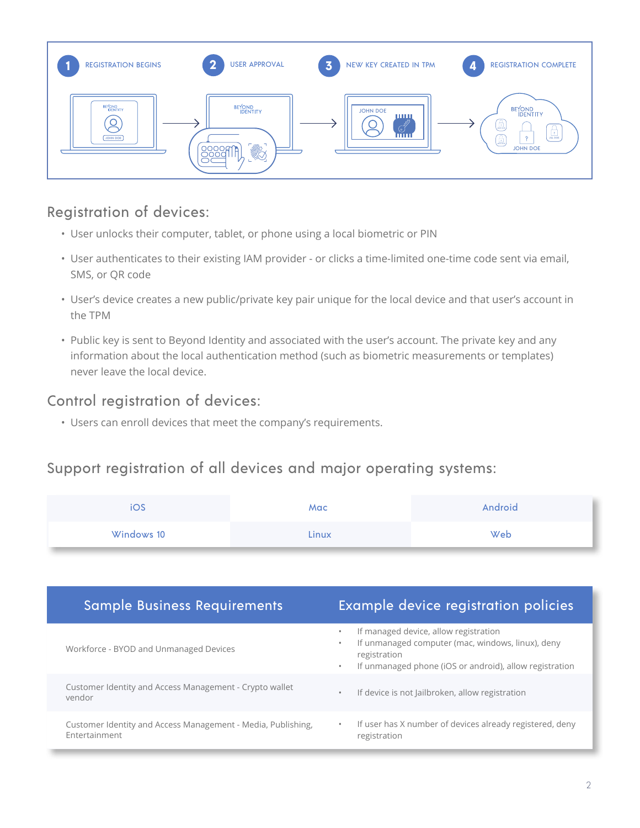

#### Registration of devices:

- User unlocks their computer, tablet, or phone using a local biometric or PIN
- User authenticates to their existing IAM provider or clicks a time-limited one-time code sent via email, SMS, or QR code
- User's device creates a new public/private key pair unique for the local device and that user's account in the TPM
- Public key is sent to Beyond Identity and associated with the user's account. The private key and any information about the local authentication method (such as biometric measurements or templates) never leave the local device.

#### Control registration of devices:

• Users can enroll devices that meet the company's requirements.

#### Support registration of all devices and major operating systems:

| US.        | Mac   | Android |
|------------|-------|---------|
| Windows 10 | Linux | Web     |

| <b>Sample Business Requirements</b>                                           | Example device registration policies                                                                                                                                               |
|-------------------------------------------------------------------------------|------------------------------------------------------------------------------------------------------------------------------------------------------------------------------------|
| Workforce - BYOD and Unmanaged Devices                                        | If managed device, allow registration<br>If unmanaged computer (mac, windows, linux), deny<br>registration<br>If unmanaged phone (iOS or android), allow registration<br>$\bullet$ |
| Customer Identity and Access Management - Crypto wallet<br>vendor             | If device is not Jailbroken, allow registration                                                                                                                                    |
| Customer Identity and Access Management - Media, Publishing,<br>Entertainment | If user has X number of devices already registered, deny<br>$\bullet$<br>registration                                                                                              |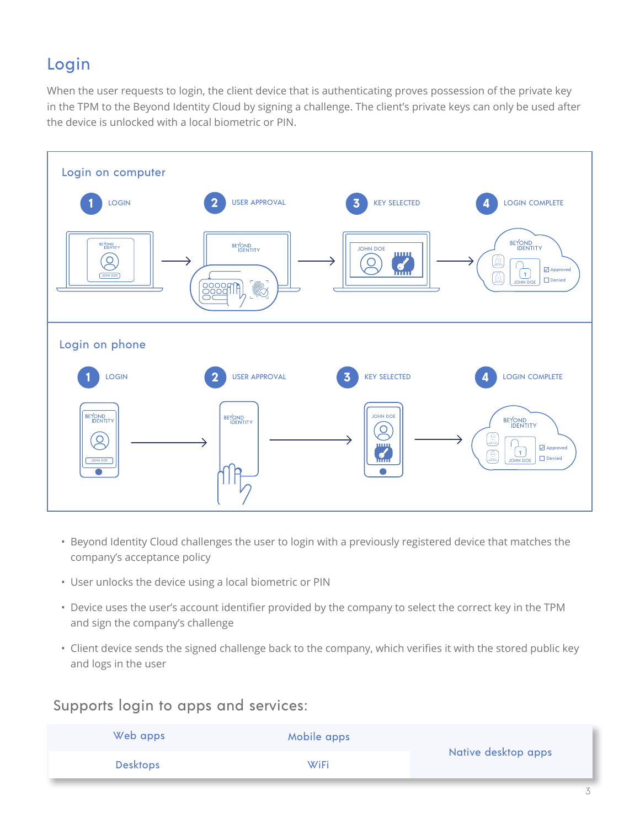## Login

When the user requests to login, the client device that is authenticating proves possession of the private key in the TPM to the Beyond Identity Cloud by signing a challenge. The client's private keys can only be used after the device is unlocked with a local biometric or PIN.



- Beyond Identity Cloud challenges the user to login with a previously registered device that matches the company's acceptance policy
- User unlocks the device using a local biometric or PIN
- Device uses the user's account identifier provided by the company to select the correct key in the TPM and sign the company's challenge
- Client device sends the signed challenge back to the company, which verifies it with the stored public key and logs in the user

#### Supports login to apps and services:

| Web apps        | Mobile apps |                     |
|-----------------|-------------|---------------------|
| <b>Desktops</b> | <b>WiFi</b> | Native desktop apps |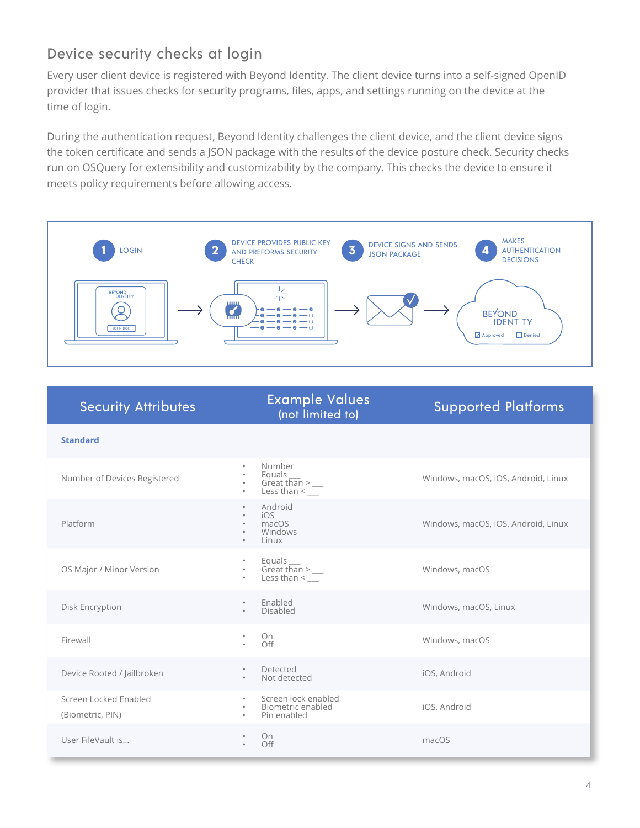### Device security checks at login

Every user client device is registered with Beyond Identity. The client device turns into a self-signed OpenID provider that issues checks for security programs, files, apps, and settings running on the device at the time of login.

During the authentication request, Beyond Identity challenges the client device, and the client device signs the token certificate and sends a JSON package with the results of the device posture check. Security checks run on OSQuery for extensibility and customizability by the company. This checks the device to ensure it meets policy requirements before allowing access.



| <b>Security Attributes</b>                | <b>Example Values</b><br>(not limited to)                                                                               | <b>Supported Platforms</b>          |
|-------------------------------------------|-------------------------------------------------------------------------------------------------------------------------|-------------------------------------|
| <b>Standard</b>                           |                                                                                                                         |                                     |
| Number of Devices Registered              | Number<br>۰<br>Equals $\frac{1}{2}$ Great than > $\frac{1}{2}$<br>۰<br>۰<br>$\frac{1}{2}$ Less than $\leq$<br>$\bullet$ | Windows, macOS, iOS, Android, Linux |
| Platform                                  | Android<br>$\bullet$<br>iOS<br>$\bullet$<br>macOS<br>$\bullet$<br>Windows<br>$\bullet$<br>Linux<br>$\bullet$            | Windows, macOS, iOS, Android, Linux |
| OS Major / Minor Version                  | Equals<br>Great than $>$ _____<br>Less than $\leq$<br>$\bullet$                                                         | Windows, macOS                      |
| Disk Encryption                           | Enabled<br>$\bullet$<br>Disabled<br>$\bullet$                                                                           | Windows, macOS, Linux               |
| Firewall                                  | On<br>۰<br>Off                                                                                                          | Windows, macOS                      |
| Device Rooted / Jailbroken                | Detected<br>$\bullet$<br>Not detected<br>$\bullet$                                                                      | iOS, Android                        |
| Screen Locked Enabled<br>(Biometric, PIN) | Screen lock enabled<br>$\bullet$<br>Biometric enabled<br>$\bullet$<br>Pin enabled<br>$\bullet$                          | iOS, Android                        |
| User FileVault is                         | On.<br>$\bullet$<br>Off                                                                                                 | macOS                               |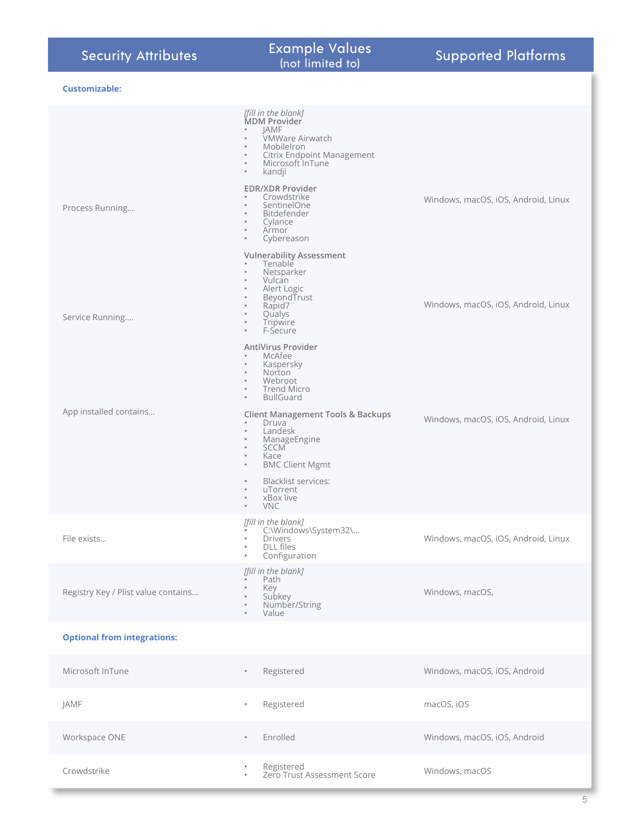| <b>Security Attributes</b>          | <b>Example Values</b><br>(not limited to)                                                                                                                                                                                                                       | <b>Supported Platforms</b>          |
|-------------------------------------|-----------------------------------------------------------------------------------------------------------------------------------------------------------------------------------------------------------------------------------------------------------------|-------------------------------------|
| <b>Customizable:</b>                |                                                                                                                                                                                                                                                                 |                                     |
|                                     | [fill in the blank]<br>MDM Provider<br><b>JAMF</b><br>VMWare Airwatch<br>$\bullet$<br>MobileIron<br>$\circ$<br>Citrix Endpoint Management<br>$\bullet$<br>Microsoft InTune<br>$\bullet$<br>kandji<br>$\bullet$                                                  |                                     |
| Process Running                     | <b>EDR/XDR Provider</b><br>Crowdstrike<br>$\circ$<br>SentinelOne<br>$\bullet$<br>Bitdefender<br>$\bullet$<br>Cylance<br>$\circ$<br>Armor<br>$\bullet$<br>Cybereason<br>$\bullet$                                                                                | Windows, macOS, iOS, Android, Linux |
| Service Running                     | <b>Vulnerability Assessment</b><br>Tenable<br>$\bullet$<br>Netsparker<br>$\bullet$<br>Vulcan<br>$\bullet$<br>Alert Logic<br>$\bullet$<br>BeyondTrust<br>$\bullet$<br>Rapid7<br>$\bullet$<br>Qualys<br>$\bullet$<br>Tripwire<br>$\circ$<br>F-Secure<br>$\bullet$ | Windows, macOS, iOS, Android, Linux |
|                                     | <b>AntiVirus Provider</b><br>McAfee<br>$\bullet$<br>Kaspersky<br>$\bullet$<br>Norton<br>$\bullet$<br>Webroot<br>$\bullet$<br><b>Trend Micro</b><br>$\bullet$<br><b>BullGuard</b><br>$\circ$                                                                     |                                     |
| App installed contains              | <b>Client Management Tools &amp; Backups</b><br>Druva<br>Landesk<br>$\bullet$<br>ManageEngine<br>$\bullet$<br><b>SCCM</b><br>$\circ$<br>Kace<br>$\bullet$<br><b>BMC Client Mgmt</b><br>$\bullet$                                                                | Windows, macOS, iOS, Android, Linux |
|                                     | <b>Blacklist services:</b><br>$\bullet$<br>uTorrent<br>$\bullet$<br>xBox live<br>$\bullet$<br><b>VNC</b><br>$\bullet$                                                                                                                                           |                                     |
| File exists                         | [fill in the blank]<br>C:\Windows\System32\<br><b>Drivers</b><br><b>DLL</b> files<br>$\bullet$<br>Configuration<br>$\bullet$                                                                                                                                    | Windows, macOS, iOS, Android, Linux |
| Registry Key / Plist value contains | [fill in the blank]<br>Path<br>Key<br>Subkey<br>Number/String<br>Value<br>$\bullet$                                                                                                                                                                             | Windows, macOS,                     |
| <b>Optional from integrations:</b>  |                                                                                                                                                                                                                                                                 |                                     |
| Microsoft InTune                    | Registered<br>$\bullet$                                                                                                                                                                                                                                         | Windows, macOS, iOS, Android        |
| JAMF                                | Registered<br>$\bullet$                                                                                                                                                                                                                                         | macOS, iOS                          |
| Workspace ONE                       | Enrolled<br>$\bullet$                                                                                                                                                                                                                                           | Windows, macOS, iOS, Android        |
| Crowdstrike                         | Registered<br>Zero Trust Assessment Score<br>$\bullet$                                                                                                                                                                                                          | Windows, macOS                      |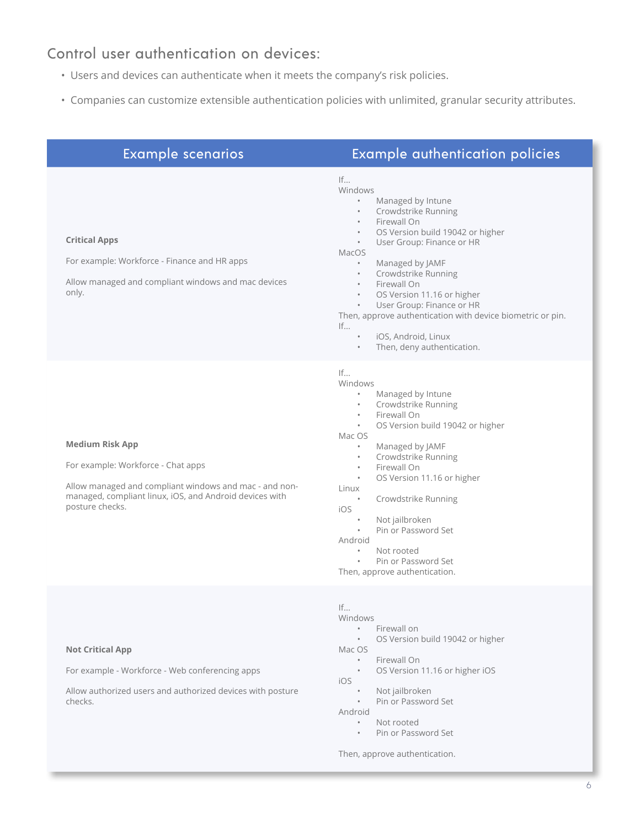#### Control user authentication on devices:

- Users and devices can authenticate when it meets the company's risk policies.
- Companies can customize extensible authentication policies with unlimited, granular security attributes.

| <b>Example scenarios</b>                                                                                                                                                                             | <b>Example authentication policies</b>                                                                                                                                                                                                                                                                                                                                                                                                                                                                                                                        |
|------------------------------------------------------------------------------------------------------------------------------------------------------------------------------------------------------|---------------------------------------------------------------------------------------------------------------------------------------------------------------------------------------------------------------------------------------------------------------------------------------------------------------------------------------------------------------------------------------------------------------------------------------------------------------------------------------------------------------------------------------------------------------|
| <b>Critical Apps</b><br>For example: Workforce - Finance and HR apps<br>Allow managed and compliant windows and mac devices<br>only.                                                                 | If<br>Windows<br>$\bullet$<br>Managed by Intune<br>Crowdstrike Running<br>$\circ$<br>Firewall On<br>$\bullet$<br>OS Version build 19042 or higher<br>$\bullet$<br>User Group: Finance or HR<br>$\bullet$<br>MacOS<br>Managed by JAMF<br>$\bullet$<br>Crowdstrike Running<br>Firewall On<br>$\bullet$<br>OS Version 11.16 or higher<br>$\bullet$<br>User Group: Finance or HR<br>$\bullet$<br>Then, approve authentication with device biometric or pin.<br>$\mathsf{If} \dots$<br>iOS, Android, Linux<br>$\bullet$<br>Then, deny authentication.<br>$\bullet$ |
| <b>Medium Risk App</b><br>For example: Workforce - Chat apps<br>Allow managed and compliant windows and mac - and non-<br>managed, compliant linux, iOS, and Android devices with<br>posture checks. | If<br>Windows<br>Managed by Intune<br>$\bullet$<br>Crowdstrike Running<br>$\bullet$<br>Firewall On<br>$\bullet$<br>OS Version build 19042 or higher<br>$\bullet$<br>Mac OS<br>Managed by JAMF<br>$\bullet$<br>Crowdstrike Running<br>$\bullet$<br>Firewall On<br>$\bullet$<br>OS Version 11.16 or higher<br>$\bullet$<br>Linux<br>Crowdstrike Running<br>$\bullet$<br>iOS<br>Not jailbroken<br>$\bullet$<br>Pin or Password Set<br>Android<br>Not rooted<br>$\bullet$<br>Pin or Password Set<br>$\bullet$<br>Then, approve authentication.                    |
| <b>Not Critical App</b>                                                                                                                                                                              | If<br>Windows<br>Firewall on<br>$\bullet$<br>OS Version build 19042 or higher<br>$\bullet$<br>Mac OS                                                                                                                                                                                                                                                                                                                                                                                                                                                          |

For example - Workforce - Web conferencing apps

Allow authorized users and authorized devices with posture checks.

- Firewall On
- OS Version 11.16 or higher iOS
- iOS
	- Not jailbroken
	- Pin or Password Set

Android

- Not rooted
- Pin or Password Set

Then, approve authentication.